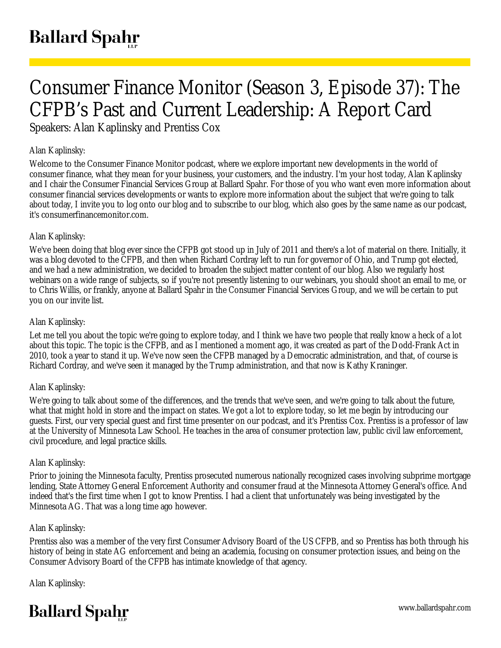# Consumer Finance Monitor (Season 3, Episode 37): The CFPB's Past and Current Leadership: A Report Card

Speakers: Alan Kaplinsky and Prentiss Cox

## Alan Kaplinsky:

Welcome to the Consumer Finance Monitor podcast, where we explore important new developments in the world of consumer finance, what they mean for your business, your customers, and the industry. I'm your host today, Alan Kaplinsky and I chair the Consumer Financial Services Group at Ballard Spahr. For those of you who want even more information about consumer financial services developments or wants to explore more information about the subject that we're going to talk about today, I invite you to log onto our blog and to subscribe to our blog, which also goes by the same name as our podcast, it's consumerfinancemonitor.com.

## Alan Kaplinsky:

We've been doing that blog ever since the CFPB got stood up in July of 2011 and there's a lot of material on there. Initially, it was a blog devoted to the CFPB, and then when Richard Cordray left to run for governor of Ohio, and Trump got elected, and we had a new administration, we decided to broaden the subject matter content of our blog. Also we regularly host webinars on a wide range of subjects, so if you're not presently listening to our webinars, you should shoot an email to me, or to Chris Willis, or frankly, anyone at Ballard Spahr in the Consumer Financial Services Group, and we will be certain to put you on our invite list.

#### Alan Kaplinsky:

Let me tell you about the topic we're going to explore today, and I think we have two people that really know a heck of a lot about this topic. The topic is the CFPB, and as I mentioned a moment ago, it was created as part of the Dodd-Frank Act in 2010, took a year to stand it up. We've now seen the CFPB managed by a Democratic administration, and that, of course is Richard Cordray, and we've seen it managed by the Trump administration, and that now is Kathy Kraninger.

#### Alan Kaplinsky:

We're going to talk about some of the differences, and the trends that we've seen, and we're going to talk about the future, what that might hold in store and the impact on states. We got a lot to explore today, so let me begin by introducing our guests. First, our very special guest and first time presenter on our podcast, and it's Prentiss Cox. Prentiss is a professor of law at the University of Minnesota Law School. He teaches in the area of consumer protection law, public civil law enforcement, civil procedure, and legal practice skills.

#### Alan Kaplinsky:

Prior to joining the Minnesota faculty, Prentiss prosecuted numerous nationally recognized cases involving subprime mortgage lending, State Attorney General Enforcement Authority and consumer fraud at the Minnesota Attorney General's office. And indeed that's the first time when I got to know Prentiss. I had a client that unfortunately was being investigated by the Minnesota AG. That was a long time ago however.

#### Alan Kaplinsky:

Prentiss also was a member of the very first Consumer Advisory Board of the US CFPB, and so Prentiss has both through his history of being in state AG enforcement and being an academia, focusing on consumer protection issues, and being on the Consumer Advisory Board of the CFPB has intimate knowledge of that agency.

Alan Kaplinsky:

## **Ballard Spahr**

www.ballardspahr.com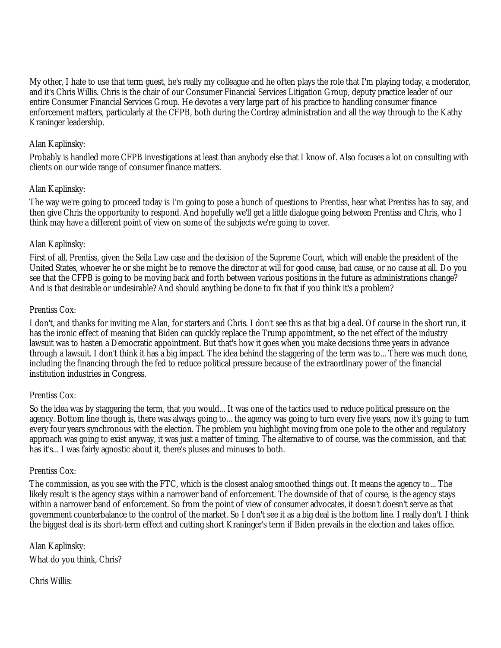My other, I hate to use that term guest, he's really my colleague and he often plays the role that I'm playing today, a moderator, and it's Chris Willis. Chris is the chair of our Consumer Financial Services Litigation Group, deputy practice leader of our entire Consumer Financial Services Group. He devotes a very large part of his practice to handling consumer finance enforcement matters, particularly at the CFPB, both during the Cordray administration and all the way through to the Kathy Kraninger leadership.

## Alan Kaplinsky:

Probably is handled more CFPB investigations at least than anybody else that I know of. Also focuses a lot on consulting with clients on our wide range of consumer finance matters.

## Alan Kaplinsky:

The way we're going to proceed today is I'm going to pose a bunch of questions to Prentiss, hear what Prentiss has to say, and then give Chris the opportunity to respond. And hopefully we'll get a little dialogue going between Prentiss and Chris, who I think may have a different point of view on some of the subjects we're going to cover.

#### Alan Kaplinsky:

First of all, Prentiss, given the Seila Law case and the decision of the Supreme Court, which will enable the president of the United States, whoever he or she might be to remove the director at will for good cause, bad cause, or no cause at all. Do you see that the CFPB is going to be moving back and forth between various positions in the future as administrations change? And is that desirable or undesirable? And should anything be done to fix that if you think it's a problem?

#### Prentiss Cox:

I don't, and thanks for inviting me Alan, for starters and Chris. I don't see this as that big a deal. Of course in the short run, it has the ironic effect of meaning that Biden can quickly replace the Trump appointment, so the net effect of the industry lawsuit was to hasten a Democratic appointment. But that's how it goes when you make decisions three years in advance through a lawsuit. I don't think it has a big impact. The idea behind the staggering of the term was to... There was much done, including the financing through the fed to reduce political pressure because of the extraordinary power of the financial institution industries in Congress.

#### Prentiss Cox:

So the idea was by staggering the term, that you would... It was one of the tactics used to reduce political pressure on the agency. Bottom line though is, there was always going to... the agency was going to turn every five years, now it's going to turn every four years synchronous with the election. The problem you highlight moving from one pole to the other and regulatory approach was going to exist anyway, it was just a matter of timing. The alternative to of course, was the commission, and that has it's... I was fairly agnostic about it, there's pluses and minuses to both.

#### Prentiss Cox:

The commission, as you see with the FTC, which is the closest analog smoothed things out. It means the agency to... The likely result is the agency stays within a narrower band of enforcement. The downside of that of course, is the agency stays within a narrower band of enforcement. So from the point of view of consumer advocates, it doesn't doesn't serve as that government counterbalance to the control of the market. So I don't see it as a big deal is the bottom line. I really don't. I think the biggest deal is its short-term effect and cutting short Kraninger's term if Biden prevails in the election and takes office.

Alan Kaplinsky: What do you think, Chris?

Chris Willis: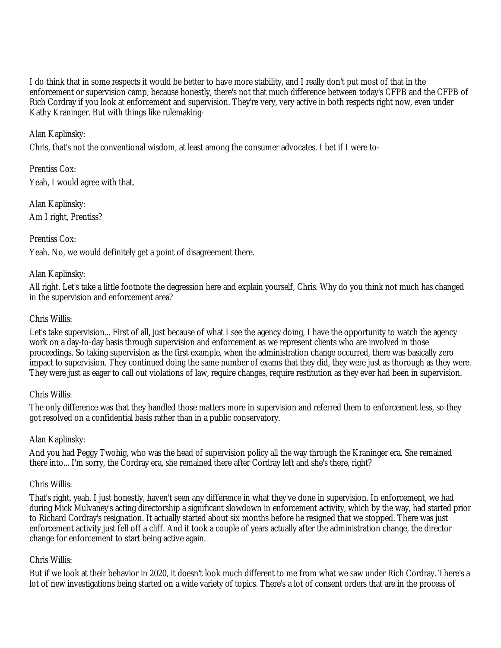I do think that in some respects it would be better to have more stability, and I really don't put most of that in the enforcement or supervision camp, because honestly, there's not that much difference between today's CFPB and the CFPB of Rich Cordray if you look at enforcement and supervision. They're very, very active in both respects right now, even under Kathy Kraninger. But with things like rulemaking-

Alan Kaplinsky:

Chris, that's not the conventional wisdom, at least among the consumer advocates. I bet if I were to-

Prentiss Cox: Yeah, I would agree with that.

Alan Kaplinsky: Am I right, Prentiss?

Prentiss Cox:

Yeah. No, we would definitely get a point of disagreement there.

## Alan Kaplinsky:

All right. Let's take a little footnote the degression here and explain yourself, Chris. Why do you think not much has changed in the supervision and enforcement area?

#### Chris Willis:

Let's take supervision... First of all, just because of what I see the agency doing, I have the opportunity to watch the agency work on a day-to-day basis through supervision and enforcement as we represent clients who are involved in those proceedings. So taking supervision as the first example, when the administration change occurred, there was basically zero impact to supervision. They continued doing the same number of exams that they did, they were just as thorough as they were. They were just as eager to call out violations of law, require changes, require restitution as they ever had been in supervision.

#### Chris Willis:

The only difference was that they handled those matters more in supervision and referred them to enforcement less, so they got resolved on a confidential basis rather than in a public conservatory.

#### Alan Kaplinsky:

And you had Peggy Twohig, who was the head of supervision policy all the way through the Kraninger era. She remained there into... I'm sorry, the Cordray era, she remained there after Cordray left and she's there, right?

#### Chris Willis:

That's right, yeah. I just honestly, haven't seen any difference in what they've done in supervision. In enforcement, we had during Mick Mulvaney's acting directorship a significant slowdown in enforcement activity, which by the way, had started prior to Richard Cordray's resignation. It actually started about six months before he resigned that we stopped. There was just enforcement activity just fell off a cliff. And it took a couple of years actually after the administration change, the director change for enforcement to start being active again.

#### Chris Willis:

But if we look at their behavior in 2020, it doesn't look much different to me from what we saw under Rich Cordray. There's a lot of new investigations being started on a wide variety of topics. There's a lot of consent orders that are in the process of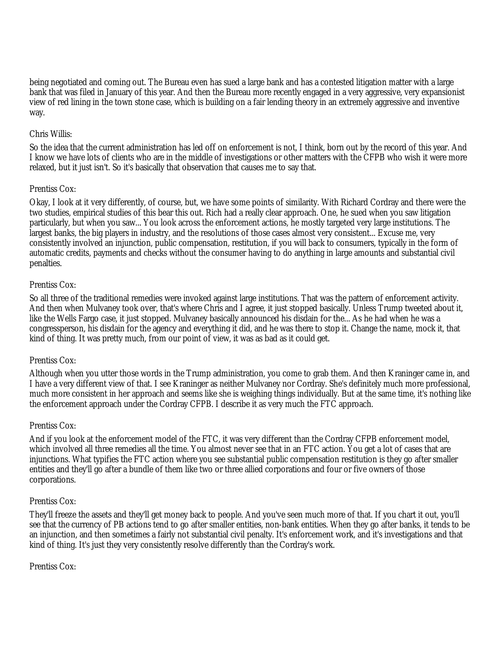being negotiated and coming out. The Bureau even has sued a large bank and has a contested litigation matter with a large bank that was filed in January of this year. And then the Bureau more recently engaged in a very aggressive, very expansionist view of red lining in the town stone case, which is building on a fair lending theory in an extremely aggressive and inventive way.

#### Chris Willis:

So the idea that the current administration has led off on enforcement is not, I think, born out by the record of this year. And I know we have lots of clients who are in the middle of investigations or other matters with the CFPB who wish it were more relaxed, but it just isn't. So it's basically that observation that causes me to say that.

## Prentiss Cox:

Okay, I look at it very differently, of course, but, we have some points of similarity. With Richard Cordray and there were the two studies, empirical studies of this bear this out. Rich had a really clear approach. One, he sued when you saw litigation particularly, but when you saw... You look across the enforcement actions, he mostly targeted very large institutions. The largest banks, the big players in industry, and the resolutions of those cases almost very consistent... Excuse me, very consistently involved an injunction, public compensation, restitution, if you will back to consumers, typically in the form of automatic credits, payments and checks without the consumer having to do anything in large amounts and substantial civil penalties.

## Prentiss Cox:

So all three of the traditional remedies were invoked against large institutions. That was the pattern of enforcement activity. And then when Mulvaney took over, that's where Chris and I agree, it just stopped basically. Unless Trump tweeted about it, like the Wells Fargo case, it just stopped. Mulvaney basically announced his disdain for the... As he had when he was a congressperson, his disdain for the agency and everything it did, and he was there to stop it. Change the name, mock it, that kind of thing. It was pretty much, from our point of view, it was as bad as it could get.

## Prentiss Cox:

Although when you utter those words in the Trump administration, you come to grab them. And then Kraninger came in, and I have a very different view of that. I see Kraninger as neither Mulvaney nor Cordray. She's definitely much more professional, much more consistent in her approach and seems like she is weighing things individually. But at the same time, it's nothing like the enforcement approach under the Cordray CFPB. I describe it as very much the FTC approach.

## Prentiss Cox:

And if you look at the enforcement model of the FTC, it was very different than the Cordray CFPB enforcement model, which involved all three remedies all the time. You almost never see that in an FTC action. You get a lot of cases that are injunctions. What typifies the FTC action where you see substantial public compensation restitution is they go after smaller entities and they'll go after a bundle of them like two or three allied corporations and four or five owners of those corporations.

#### Prentiss Cox:

They'll freeze the assets and they'll get money back to people. And you've seen much more of that. If you chart it out, you'll see that the currency of PB actions tend to go after smaller entities, non-bank entities. When they go after banks, it tends to be an injunction, and then sometimes a fairly not substantial civil penalty. It's enforcement work, and it's investigations and that kind of thing. It's just they very consistently resolve differently than the Cordray's work.

#### Prentiss Cox: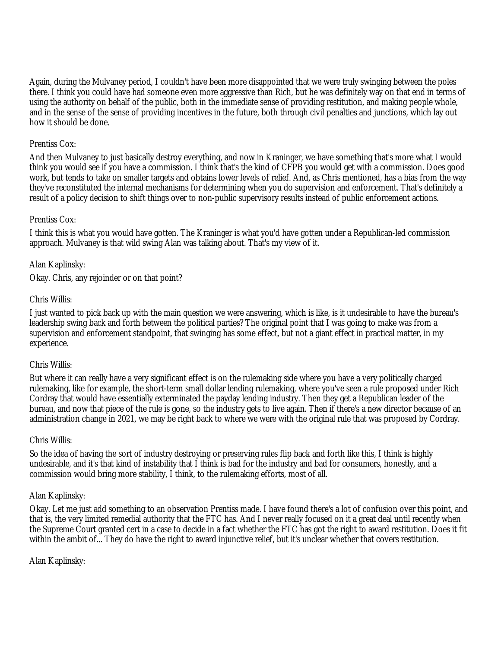Again, during the Mulvaney period, I couldn't have been more disappointed that we were truly swinging between the poles there. I think you could have had someone even more aggressive than Rich, but he was definitely way on that end in terms of using the authority on behalf of the public, both in the immediate sense of providing restitution, and making people whole, and in the sense of the sense of providing incentives in the future, both through civil penalties and junctions, which lay out how it should be done.

#### Prentiss Cox:

And then Mulvaney to just basically destroy everything, and now in Kraninger, we have something that's more what I would think you would see if you have a commission. I think that's the kind of CFPB you would get with a commission. Does good work, but tends to take on smaller targets and obtains lower levels of relief. And, as Chris mentioned, has a bias from the way they've reconstituted the internal mechanisms for determining when you do supervision and enforcement. That's definitely a result of a policy decision to shift things over to non-public supervisory results instead of public enforcement actions.

## Prentiss Cox:

I think this is what you would have gotten. The Kraninger is what you'd have gotten under a Republican-led commission approach. Mulvaney is that wild swing Alan was talking about. That's my view of it.

## Alan Kaplinsky:

Okay. Chris, any rejoinder or on that point?

#### Chris Willis:

I just wanted to pick back up with the main question we were answering, which is like, is it undesirable to have the bureau's leadership swing back and forth between the political parties? The original point that I was going to make was from a supervision and enforcement standpoint, that swinging has some effect, but not a giant effect in practical matter, in my experience.

#### Chris Willis:

But where it can really have a very significant effect is on the rulemaking side where you have a very politically charged rulemaking, like for example, the short-term small dollar lending rulemaking, where you've seen a rule proposed under Rich Cordray that would have essentially exterminated the payday lending industry. Then they get a Republican leader of the bureau, and now that piece of the rule is gone, so the industry gets to live again. Then if there's a new director because of an administration change in 2021, we may be right back to where we were with the original rule that was proposed by Cordray.

#### Chris Willis:

So the idea of having the sort of industry destroying or preserving rules flip back and forth like this, I think is highly undesirable, and it's that kind of instability that I think is bad for the industry and bad for consumers, honestly, and a commission would bring more stability, I think, to the rulemaking efforts, most of all.

#### Alan Kaplinsky:

Okay. Let me just add something to an observation Prentiss made. I have found there's a lot of confusion over this point, and that is, the very limited remedial authority that the FTC has. And I never really focused on it a great deal until recently when the Supreme Court granted cert in a case to decide in a fact whether the FTC has got the right to award restitution. Does it fit within the ambit of... They do have the right to award injunctive relief, but it's unclear whether that covers restitution.

#### Alan Kaplinsky: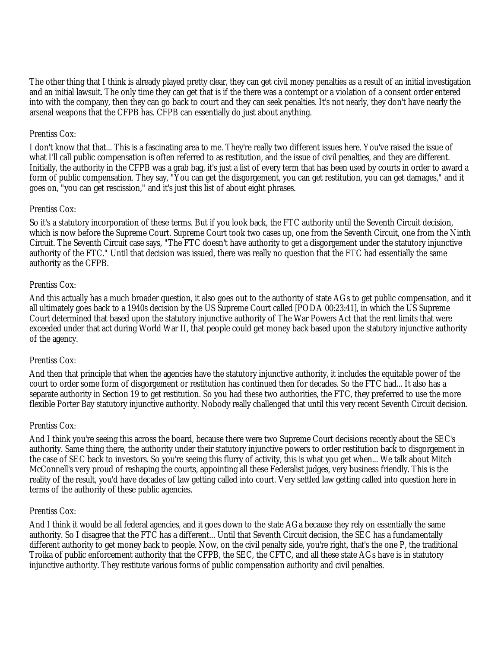The other thing that I think is already played pretty clear, they can get civil money penalties as a result of an initial investigation and an initial lawsuit. The only time they can get that is if the there was a contempt or a violation of a consent order entered into with the company, then they can go back to court and they can seek penalties. It's not nearly, they don't have nearly the arsenal weapons that the CFPB has. CFPB can essentially do just about anything.

#### Prentiss Cox:

I don't know that that... This is a fascinating area to me. They're really two different issues here. You've raised the issue of what I'll call public compensation is often referred to as restitution, and the issue of civil penalties, and they are different. Initially, the authority in the CFPB was a grab bag, it's just a list of every term that has been used by courts in order to award a form of public compensation. They say, "You can get the disgorgement, you can get restitution, you can get damages," and it goes on, "you can get rescission," and it's just this list of about eight phrases.

## Prentiss Cox:

So it's a statutory incorporation of these terms. But if you look back, the FTC authority until the Seventh Circuit decision, which is now before the Supreme Court. Supreme Court took two cases up, one from the Seventh Circuit, one from the Ninth Circuit. The Seventh Circuit case says, "The FTC doesn't have authority to get a disgorgement under the statutory injunctive authority of the FTC." Until that decision was issued, there was really no question that the FTC had essentially the same authority as the CFPB.

## Prentiss Cox:

And this actually has a much broader question, it also goes out to the authority of state AGs to get public compensation, and it all ultimately goes back to a 1940s decision by the US Supreme Court called [PODA 00:23:41], in which the US Supreme Court determined that based upon the statutory injunctive authority of The War Powers Act that the rent limits that were exceeded under that act during World War II, that people could get money back based upon the statutory injunctive authority of the agency.

#### Prentiss Cox:

And then that principle that when the agencies have the statutory injunctive authority, it includes the equitable power of the court to order some form of disgorgement or restitution has continued then for decades. So the FTC had... It also has a separate authority in Section 19 to get restitution. So you had these two authorities, the FTC, they preferred to use the more flexible Porter Bay statutory injunctive authority. Nobody really challenged that until this very recent Seventh Circuit decision.

#### Prentiss Cox:

And I think you're seeing this across the board, because there were two Supreme Court decisions recently about the SEC's authority. Same thing there, the authority under their statutory injunctive powers to order restitution back to disgorgement in the case of SEC back to investors. So you're seeing this flurry of activity, this is what you get when... We talk about Mitch McConnell's very proud of reshaping the courts, appointing all these Federalist judges, very business friendly. This is the reality of the result, you'd have decades of law getting called into court. Very settled law getting called into question here in terms of the authority of these public agencies.

#### Prentiss Cox:

And I think it would be all federal agencies, and it goes down to the state AGa because they rely on essentially the same authority. So I disagree that the FTC has a different... Until that Seventh Circuit decision, the SEC has a fundamentally different authority to get money back to people. Now, on the civil penalty side, you're right, that's the one P, the traditional Troika of public enforcement authority that the CFPB, the SEC, the CFTC, and all these state AGs have is in statutory injunctive authority. They restitute various forms of public compensation authority and civil penalties.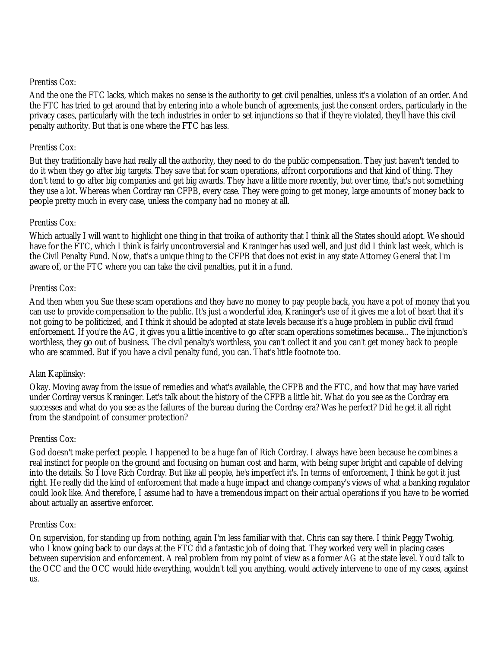#### Prentiss Cox:

And the one the FTC lacks, which makes no sense is the authority to get civil penalties, unless it's a violation of an order. And the FTC has tried to get around that by entering into a whole bunch of agreements, just the consent orders, particularly in the privacy cases, particularly with the tech industries in order to set injunctions so that if they're violated, they'll have this civil penalty authority. But that is one where the FTC has less.

## Prentiss Cox:

But they traditionally have had really all the authority, they need to do the public compensation. They just haven't tended to do it when they go after big targets. They save that for scam operations, affront corporations and that kind of thing. They don't tend to go after big companies and get big awards. They have a little more recently, but over time, that's not something they use a lot. Whereas when Cordray ran CFPB, every case. They were going to get money, large amounts of money back to people pretty much in every case, unless the company had no money at all.

## Prentiss Cox:

Which actually I will want to highlight one thing in that troika of authority that I think all the States should adopt. We should have for the FTC, which I think is fairly uncontroversial and Kraninger has used well, and just did I think last week, which is the Civil Penalty Fund. Now, that's a unique thing to the CFPB that does not exist in any state Attorney General that I'm aware of, or the FTC where you can take the civil penalties, put it in a fund.

## Prentiss Cox:

And then when you Sue these scam operations and they have no money to pay people back, you have a pot of money that you can use to provide compensation to the public. It's just a wonderful idea, Kraninger's use of it gives me a lot of heart that it's not going to be politicized, and I think it should be adopted at state levels because it's a huge problem in public civil fraud enforcement. If you're the AG, it gives you a little incentive to go after scam operations sometimes because... The injunction's worthless, they go out of business. The civil penalty's worthless, you can't collect it and you can't get money back to people who are scammed. But if you have a civil penalty fund, you can. That's little footnote too.

## Alan Kaplinsky:

Okay. Moving away from the issue of remedies and what's available, the CFPB and the FTC, and how that may have varied under Cordray versus Kraninger. Let's talk about the history of the CFPB a little bit. What do you see as the Cordray era successes and what do you see as the failures of the bureau during the Cordray era? Was he perfect? Did he get it all right from the standpoint of consumer protection?

#### Prentiss Cox:

God doesn't make perfect people. I happened to be a huge fan of Rich Cordray. I always have been because he combines a real instinct for people on the ground and focusing on human cost and harm, with being super bright and capable of delving into the details. So I love Rich Cordray. But like all people, he's imperfect it's. In terms of enforcement, I think he got it just right. He really did the kind of enforcement that made a huge impact and change company's views of what a banking regulator could look like. And therefore, I assume had to have a tremendous impact on their actual operations if you have to be worried about actually an assertive enforcer.

#### Prentiss Cox:

On supervision, for standing up from nothing, again I'm less familiar with that. Chris can say there. I think Peggy Twohig, who I know going back to our days at the FTC did a fantastic job of doing that. They worked very well in placing cases between supervision and enforcement. A real problem from my point of view as a former AG at the state level. You'd talk to the OCC and the OCC would hide everything, wouldn't tell you anything, would actively intervene to one of my cases, against us.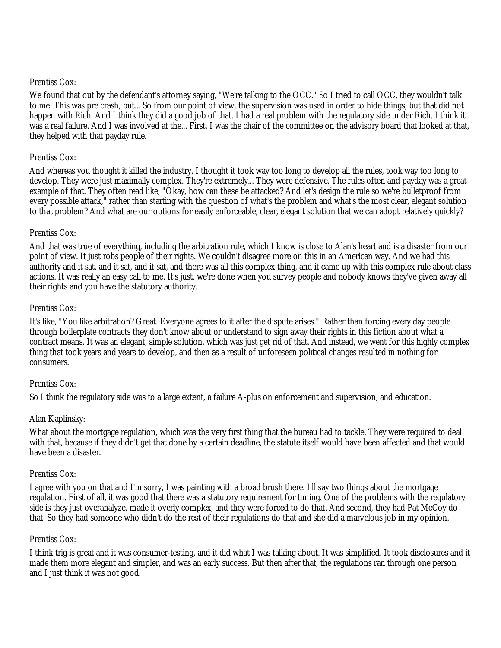#### Prentiss Cox:

We found that out by the defendant's attorney saying, "We're talking to the OCC." So I tried to call OCC, they wouldn't talk to me. This was pre crash, but... So from our point of view, the supervision was used in order to hide things, but that did not happen with Rich. And I think they did a good job of that. I had a real problem with the regulatory side under Rich. I think it was a real failure. And I was involved at the... First, I was the chair of the committee on the advisory board that looked at that, they helped with that payday rule.

#### Prentiss Cox:

And whereas you thought it killed the industry. I thought it took way too long to develop all the rules, took way too long to develop. They were just maximally complex. They're extremely... They were defensive. The rules often and payday was a great example of that. They often read like, "Okay, how can these be attacked? And let's design the rule so we're bulletproof from every possible attack," rather than starting with the question of what's the problem and what's the most clear, elegant solution to that problem? And what are our options for easily enforceable, clear, elegant solution that we can adopt relatively quickly?

#### Prentiss Cox:

And that was true of everything, including the arbitration rule, which I know is close to Alan's heart and is a disaster from our point of view. It just robs people of their rights. We couldn't disagree more on this in an American way. And we had this authority and it sat, and it sat, and it sat, and there was all this complex thing, and it came up with this complex rule about class actions. It was really an easy call to me. It's just, we're done when you survey people and nobody knows they've given away all their rights and you have the statutory authority.

#### Prentiss Cox:

It's like, "You like arbitration? Great. Everyone agrees to it after the dispute arises." Rather than forcing every day people through boilerplate contracts they don't know about or understand to sign away their rights in this fiction about what a contract means. It was an elegant, simple solution, which was just get rid of that. And instead, we went for this highly complex thing that took years and years to develop, and then as a result of unforeseen political changes resulted in nothing for consumers.

#### Prentiss Cox:

So I think the regulatory side was to a large extent, a failure A-plus on enforcement and supervision, and education.

#### Alan Kaplinsky:

What about the mortgage regulation, which was the very first thing that the bureau had to tackle. They were required to deal with that, because if they didn't get that done by a certain deadline, the statute itself would have been affected and that would have been a disaster.

#### Prentiss Cox:

I agree with you on that and I'm sorry, I was painting with a broad brush there. I'll say two things about the mortgage regulation. First of all, it was good that there was a statutory requirement for timing. One of the problems with the regulatory side is they just overanalyze, made it overly complex, and they were forced to do that. And second, they had Pat McCoy do that. So they had someone who didn't do the rest of their regulations do that and she did a marvelous job in my opinion.

#### Prentiss Cox:

I think trig is great and it was consumer-testing, and it did what I was talking about. It was simplified. It took disclosures and it made them more elegant and simpler, and was an early success. But then after that, the regulations ran through one person and I just think it was not good.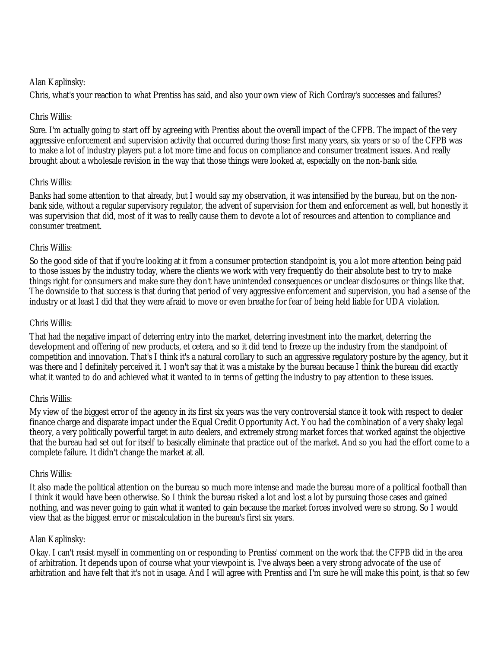## Alan Kaplinsky:

Chris, what's your reaction to what Prentiss has said, and also your own view of Rich Cordray's successes and failures?

## Chris Willis:

Sure. I'm actually going to start off by agreeing with Prentiss about the overall impact of the CFPB. The impact of the very aggressive enforcement and supervision activity that occurred during those first many years, six years or so of the CFPB was to make a lot of industry players put a lot more time and focus on compliance and consumer treatment issues. And really brought about a wholesale revision in the way that those things were looked at, especially on the non-bank side.

## Chris Willis:

Banks had some attention to that already, but I would say my observation, it was intensified by the bureau, but on the nonbank side, without a regular supervisory regulator, the advent of supervision for them and enforcement as well, but honestly it was supervision that did, most of it was to really cause them to devote a lot of resources and attention to compliance and consumer treatment.

## Chris Willis:

So the good side of that if you're looking at it from a consumer protection standpoint is, you a lot more attention being paid to those issues by the industry today, where the clients we work with very frequently do their absolute best to try to make things right for consumers and make sure they don't have unintended consequences or unclear disclosures or things like that. The downside to that success is that during that period of very aggressive enforcement and supervision, you had a sense of the industry or at least I did that they were afraid to move or even breathe for fear of being held liable for UDA violation.

#### Chris Willis:

That had the negative impact of deterring entry into the market, deterring investment into the market, deterring the development and offering of new products, et cetera, and so it did tend to freeze up the industry from the standpoint of competition and innovation. That's I think it's a natural corollary to such an aggressive regulatory posture by the agency, but it was there and I definitely perceived it. I won't say that it was a mistake by the bureau because I think the bureau did exactly what it wanted to do and achieved what it wanted to in terms of getting the industry to pay attention to these issues.

#### Chris Willis:

My view of the biggest error of the agency in its first six years was the very controversial stance it took with respect to dealer finance charge and disparate impact under the Equal Credit Opportunity Act. You had the combination of a very shaky legal theory, a very politically powerful target in auto dealers, and extremely strong market forces that worked against the objective that the bureau had set out for itself to basically eliminate that practice out of the market. And so you had the effort come to a complete failure. It didn't change the market at all.

#### Chris Willis:

It also made the political attention on the bureau so much more intense and made the bureau more of a political football than I think it would have been otherwise. So I think the bureau risked a lot and lost a lot by pursuing those cases and gained nothing, and was never going to gain what it wanted to gain because the market forces involved were so strong. So I would view that as the biggest error or miscalculation in the bureau's first six years.

#### Alan Kaplinsky:

Okay. I can't resist myself in commenting on or responding to Prentiss' comment on the work that the CFPB did in the area of arbitration. It depends upon of course what your viewpoint is. I've always been a very strong advocate of the use of arbitration and have felt that it's not in usage. And I will agree with Prentiss and I'm sure he will make this point, is that so few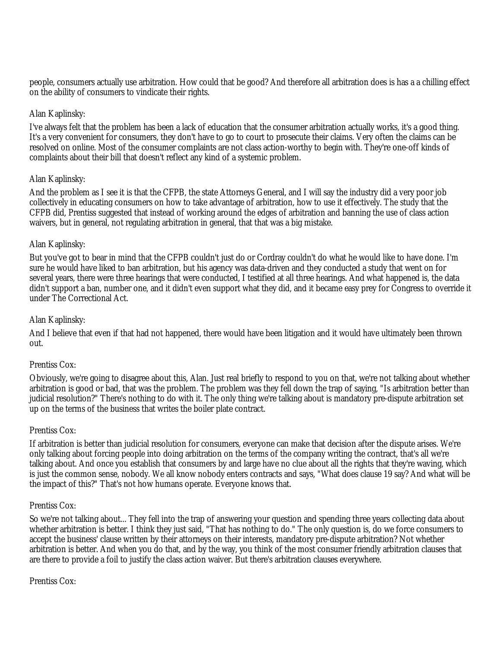people, consumers actually use arbitration. How could that be good? And therefore all arbitration does is has a a chilling effect on the ability of consumers to vindicate their rights.

## Alan Kaplinsky:

I've always felt that the problem has been a lack of education that the consumer arbitration actually works, it's a good thing. It's a very convenient for consumers, they don't have to go to court to prosecute their claims. Very often the claims can be resolved on online. Most of the consumer complaints are not class action-worthy to begin with. They're one-off kinds of complaints about their bill that doesn't reflect any kind of a systemic problem.

## Alan Kaplinsky:

And the problem as I see it is that the CFPB, the state Attorneys General, and I will say the industry did a very poor job collectively in educating consumers on how to take advantage of arbitration, how to use it effectively. The study that the CFPB did, Prentiss suggested that instead of working around the edges of arbitration and banning the use of class action waivers, but in general, not regulating arbitration in general, that that was a big mistake.

## Alan Kaplinsky:

But you've got to bear in mind that the CFPB couldn't just do or Cordray couldn't do what he would like to have done. I'm sure he would have liked to ban arbitration, but his agency was data-driven and they conducted a study that went on for several years, there were three hearings that were conducted, I testified at all three hearings. And what happened is, the data didn't support a ban, number one, and it didn't even support what they did, and it became easy prey for Congress to override it under The Correctional Act.

#### Alan Kaplinsky:

And I believe that even if that had not happened, there would have been litigation and it would have ultimately been thrown out.

#### Prentiss Cox:

Obviously, we're going to disagree about this, Alan. Just real briefly to respond to you on that, we're not talking about whether arbitration is good or bad, that was the problem. The problem was they fell down the trap of saying, "Is arbitration better than judicial resolution?" There's nothing to do with it. The only thing we're talking about is mandatory pre-dispute arbitration set up on the terms of the business that writes the boiler plate contract.

#### Prentiss Cox:

If arbitration is better than judicial resolution for consumers, everyone can make that decision after the dispute arises. We're only talking about forcing people into doing arbitration on the terms of the company writing the contract, that's all we're talking about. And once you establish that consumers by and large have no clue about all the rights that they're waving, which is just the common sense, nobody. We all know nobody enters contracts and says, "What does clause 19 say? And what will be the impact of this?" That's not how humans operate. Everyone knows that.

#### Prentiss Cox:

So we're not talking about... They fell into the trap of answering your question and spending three years collecting data about whether arbitration is better. I think they just said, "That has nothing to do." The only question is, do we force consumers to accept the business' clause written by their attorneys on their interests, mandatory pre-dispute arbitration? Not whether arbitration is better. And when you do that, and by the way, you think of the most consumer friendly arbitration clauses that are there to provide a foil to justify the class action waiver. But there's arbitration clauses everywhere.

Prentiss Cox: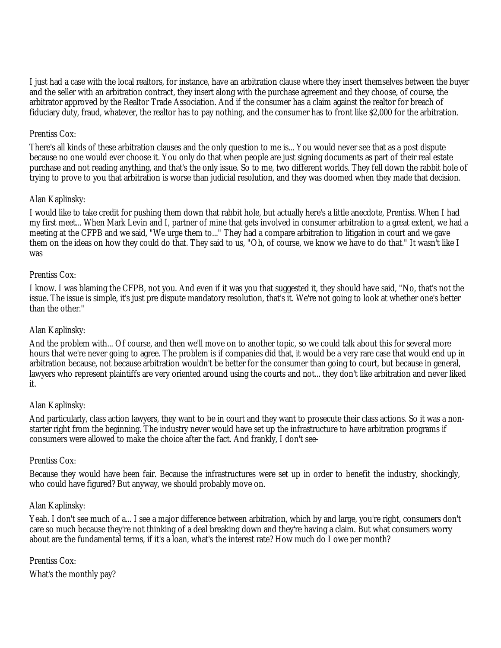I just had a case with the local realtors, for instance, have an arbitration clause where they insert themselves between the buyer and the seller with an arbitration contract, they insert along with the purchase agreement and they choose, of course, the arbitrator approved by the Realtor Trade Association. And if the consumer has a claim against the realtor for breach of fiduciary duty, fraud, whatever, the realtor has to pay nothing, and the consumer has to front like \$2,000 for the arbitration.

## Prentiss Cox:

There's all kinds of these arbitration clauses and the only question to me is... You would never see that as a post dispute because no one would ever choose it. You only do that when people are just signing documents as part of their real estate purchase and not reading anything, and that's the only issue. So to me, two different worlds. They fell down the rabbit hole of trying to prove to you that arbitration is worse than judicial resolution, and they was doomed when they made that decision.

## Alan Kaplinsky:

I would like to take credit for pushing them down that rabbit hole, but actually here's a little anecdote, Prentiss. When I had my first meet... When Mark Levin and I, partner of mine that gets involved in consumer arbitration to a great extent, we had a meeting at the CFPB and we said, "We urge them to..." They had a compare arbitration to litigation in court and we gave them on the ideas on how they could do that. They said to us, "Oh, of course, we know we have to do that." It wasn't like I was

## Prentiss Cox:

I know. I was blaming the CFPB, not you. And even if it was you that suggested it, they should have said, "No, that's not the issue. The issue is simple, it's just pre dispute mandatory resolution, that's it. We're not going to look at whether one's better than the other."

#### Alan Kaplinsky:

And the problem with... Of course, and then we'll move on to another topic, so we could talk about this for several more hours that we're never going to agree. The problem is if companies did that, it would be a very rare case that would end up in arbitration because, not because arbitration wouldn't be better for the consumer than going to court, but because in general, lawyers who represent plaintiffs are very oriented around using the courts and not... they don't like arbitration and never liked it.

#### Alan Kaplinsky:

And particularly, class action lawyers, they want to be in court and they want to prosecute their class actions. So it was a nonstarter right from the beginning. The industry never would have set up the infrastructure to have arbitration programs if consumers were allowed to make the choice after the fact. And frankly, I don't see-

#### Prentiss Cox:

Because they would have been fair. Because the infrastructures were set up in order to benefit the industry, shockingly, who could have figured? But anyway, we should probably move on.

#### Alan Kaplinsky:

Yeah. I don't see much of a... I see a major difference between arbitration, which by and large, you're right, consumers don't care so much because they're not thinking of a deal breaking down and they're having a claim. But what consumers worry about are the fundamental terms, if it's a loan, what's the interest rate? How much do I owe per month?

#### Prentiss Cox:

What's the monthly pay?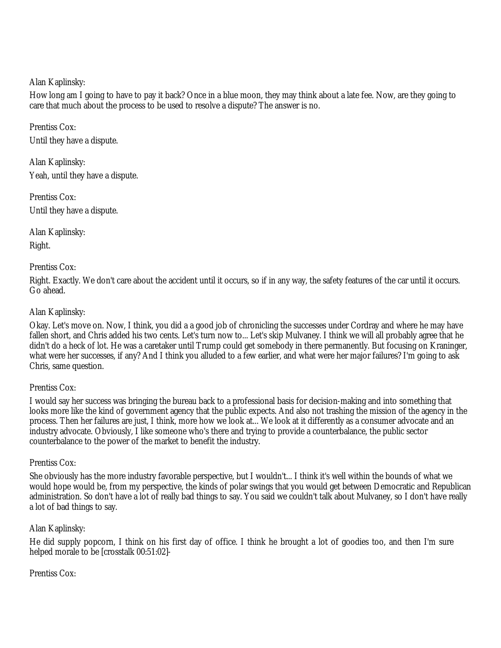Alan Kaplinsky:

How long am I going to have to pay it back? Once in a blue moon, they may think about a late fee. Now, are they going to care that much about the process to be used to resolve a dispute? The answer is no.

Prentiss Cox: Until they have a dispute.

Alan Kaplinsky: Yeah, until they have a dispute.

Prentiss Cox: Until they have a dispute.

Alan Kaplinsky: Right.

## Prentiss Cox:

Right. Exactly. We don't care about the accident until it occurs, so if in any way, the safety features of the car until it occurs. Go ahead.

## Alan Kaplinsky:

Okay. Let's move on. Now, I think, you did a a good job of chronicling the successes under Cordray and where he may have fallen short, and Chris added his two cents. Let's turn now to... Let's skip Mulvaney. I think we will all probably agree that he didn't do a heck of lot. He was a caretaker until Trump could get somebody in there permanently. But focusing on Kraninger, what were her successes, if any? And I think you alluded to a few earlier, and what were her major failures? I'm going to ask Chris, same question.

#### Prentiss Cox:

I would say her success was bringing the bureau back to a professional basis for decision-making and into something that looks more like the kind of government agency that the public expects. And also not trashing the mission of the agency in the process. Then her failures are just, I think, more how we look at... We look at it differently as a consumer advocate and an industry advocate. Obviously, I like someone who's there and trying to provide a counterbalance, the public sector counterbalance to the power of the market to benefit the industry.

#### Prentiss Cox:

She obviously has the more industry favorable perspective, but I wouldn't... I think it's well within the bounds of what we would hope would be, from my perspective, the kinds of polar swings that you would get between Democratic and Republican administration. So don't have a lot of really bad things to say. You said we couldn't talk about Mulvaney, so I don't have really a lot of bad things to say.

#### Alan Kaplinsky:

He did supply popcorn, I think on his first day of office. I think he brought a lot of goodies too, and then I'm sure helped morale to be [crosstalk 00:51:02]-

## Prentiss Cox: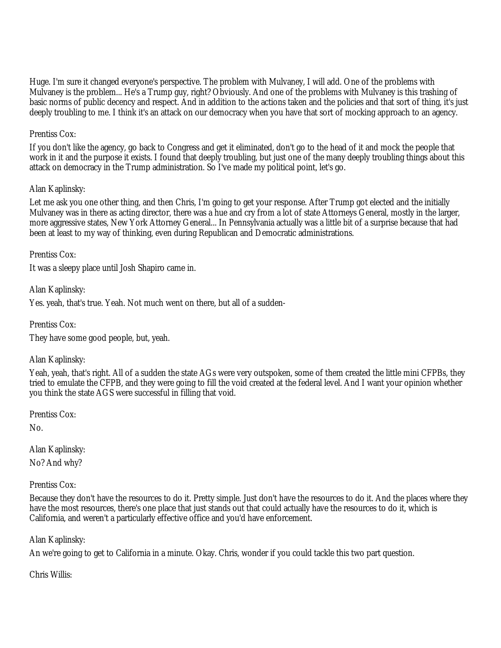Huge. I'm sure it changed everyone's perspective. The problem with Mulvaney, I will add. One of the problems with Mulvaney is the problem... He's a Trump guy, right? Obviously. And one of the problems with Mulvaney is this trashing of basic norms of public decency and respect. And in addition to the actions taken and the policies and that sort of thing, it's just deeply troubling to me. I think it's an attack on our democracy when you have that sort of mocking approach to an agency.

## Prentiss Cox:

If you don't like the agency, go back to Congress and get it eliminated, don't go to the head of it and mock the people that work in it and the purpose it exists. I found that deeply troubling, but just one of the many deeply troubling things about this attack on democracy in the Trump administration. So I've made my political point, let's go.

## Alan Kaplinsky:

Let me ask you one other thing, and then Chris, I'm going to get your response. After Trump got elected and the initially Mulvaney was in there as acting director, there was a hue and cry from a lot of state Attorneys General, mostly in the larger, more aggressive states, New York Attorney General... In Pennsylvania actually was a little bit of a surprise because that had been at least to my way of thinking, even during Republican and Democratic administrations.

Prentiss Cox:

It was a sleepy place until Josh Shapiro came in.

Alan Kaplinsky:

Yes. yeah, that's true. Yeah. Not much went on there, but all of a sudden-

Prentiss Cox:

They have some good people, but, yeah.

#### Alan Kaplinsky:

Yeah, yeah, that's right. All of a sudden the state AGs were very outspoken, some of them created the little mini CFPBs, they tried to emulate the CFPB, and they were going to fill the void created at the federal level. And I want your opinion whether you think the state AGS were successful in filling that void.

Prentiss Cox:

No.

Alan Kaplinsky: No? And why?

Prentiss Cox:

Because they don't have the resources to do it. Pretty simple. Just don't have the resources to do it. And the places where they have the most resources, there's one place that just stands out that could actually have the resources to do it, which is California, and weren't a particularly effective office and you'd have enforcement.

Alan Kaplinsky:

An we're going to get to California in a minute. Okay. Chris, wonder if you could tackle this two part question.

Chris Willis: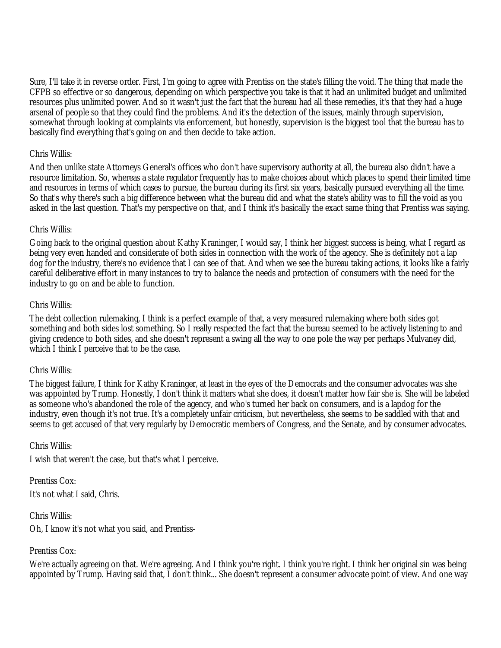Sure, I'll take it in reverse order. First, I'm going to agree with Prentiss on the state's filling the void. The thing that made the CFPB so effective or so dangerous, depending on which perspective you take is that it had an unlimited budget and unlimited resources plus unlimited power. And so it wasn't just the fact that the bureau had all these remedies, it's that they had a huge arsenal of people so that they could find the problems. And it's the detection of the issues, mainly through supervision, somewhat through looking at complaints via enforcement, but honestly, supervision is the biggest tool that the bureau has to basically find everything that's going on and then decide to take action.

#### Chris Willis:

And then unlike state Attorneys General's offices who don't have supervisory authority at all, the bureau also didn't have a resource limitation. So, whereas a state regulator frequently has to make choices about which places to spend their limited time and resources in terms of which cases to pursue, the bureau during its first six years, basically pursued everything all the time. So that's why there's such a big difference between what the bureau did and what the state's ability was to fill the void as you asked in the last question. That's my perspective on that, and I think it's basically the exact same thing that Prentiss was saying.

## Chris Willis:

Going back to the original question about Kathy Kraninger, I would say, I think her biggest success is being, what I regard as being very even handed and considerate of both sides in connection with the work of the agency. She is definitely not a lap dog for the industry, there's no evidence that I can see of that. And when we see the bureau taking actions, it looks like a fairly careful deliberative effort in many instances to try to balance the needs and protection of consumers with the need for the industry to go on and be able to function.

## Chris Willis:

The debt collection rulemaking, I think is a perfect example of that, a very measured rulemaking where both sides got something and both sides lost something. So I really respected the fact that the bureau seemed to be actively listening to and giving credence to both sides, and she doesn't represent a swing all the way to one pole the way per perhaps Mulvaney did, which I think I perceive that to be the case.

#### Chris Willis:

The biggest failure, I think for Kathy Kraninger, at least in the eyes of the Democrats and the consumer advocates was she was appointed by Trump. Honestly, I don't think it matters what she does, it doesn't matter how fair she is. She will be labeled as someone who's abandoned the role of the agency, and who's turned her back on consumers, and is a lapdog for the industry, even though it's not true. It's a completely unfair criticism, but nevertheless, she seems to be saddled with that and seems to get accused of that very regularly by Democratic members of Congress, and the Senate, and by consumer advocates.

#### Chris Willis:

I wish that weren't the case, but that's what I perceive.

Prentiss Cox: It's not what I said, Chris.

Chris Willis: Oh, I know it's not what you said, and Prentiss-

## Prentiss Cox:

We're actually agreeing on that. We're agreeing. And I think you're right. I think you're right. I think her original sin was being appointed by Trump. Having said that, I don't think... She doesn't represent a consumer advocate point of view. And one way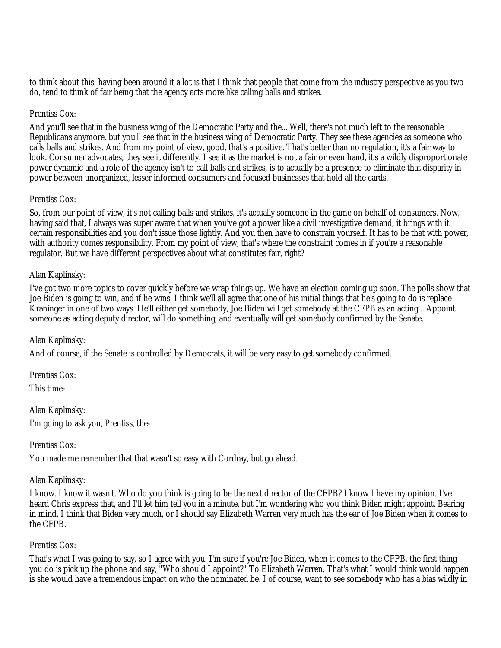to think about this, having been around it a lot is that I think that people that come from the industry perspective as you two do, tend to think of fair being that the agency acts more like calling balls and strikes.

#### Prentiss Cox:

And you'll see that in the business wing of the Democratic Party and the... Well, there's not much left to the reasonable Republicans anymore, but you'll see that in the business wing of Democratic Party. They see these agencies as someone who calls balls and strikes. And from my point of view, good, that's a positive. That's better than no regulation, it's a fair way to look. Consumer advocates, they see it differently. I see it as the market is not a fair or even hand, it's a wildly disproportionate power dynamic and a role of the agency isn't to call balls and strikes, is to actually be a presence to eliminate that disparity in power between unorganized, lesser informed consumers and focused businesses that hold all the cards.

## Prentiss Cox:

So, from our point of view, it's not calling balls and strikes, it's actually someone in the game on behalf of consumers. Now, having said that, I always was super aware that when you've got a power like a civil investigative demand, it brings with it certain responsibilities and you don't issue those lightly. And you then have to constrain yourself. It has to be that with power, with authority comes responsibility. From my point of view, that's where the constraint comes in if you're a reasonable regulator. But we have different perspectives about what constitutes fair, right?

## Alan Kaplinsky:

I've got two more topics to cover quickly before we wrap things up. We have an election coming up soon. The polls show that Joe Biden is going to win, and if he wins, I think we'll all agree that one of his initial things that he's going to do is replace Kraninger in one of two ways. He'll either get somebody, Joe Biden will get somebody at the CFPB as an acting... Appoint someone as acting deputy director, will do something, and eventually will get somebody confirmed by the Senate.

## Alan Kaplinsky:

And of course, if the Senate is controlled by Democrats, it will be very easy to get somebody confirmed.

Prentiss Cox:

This time-

Alan Kaplinsky: I'm going to ask you, Prentiss, the-

#### Prentiss Cox:

You made me remember that that wasn't so easy with Cordray, but go ahead.

#### Alan Kaplinsky:

I know. I know it wasn't. Who do you think is going to be the next director of the CFPB? I know I have my opinion. I've heard Chris express that, and I'll let him tell you in a minute, but I'm wondering who you think Biden might appoint. Bearing in mind, I think that Biden very much, or I should say Elizabeth Warren very much has the ear of Joe Biden when it comes to the CFPB.

#### Prentiss Cox:

That's what I was going to say, so I agree with you. I'm sure if you're Joe Biden, when it comes to the CFPB, the first thing you do is pick up the phone and say, "Who should I appoint?" To Elizabeth Warren. That's what I would think would happen is she would have a tremendous impact on who the nominated be. I of course, want to see somebody who has a bias wildly in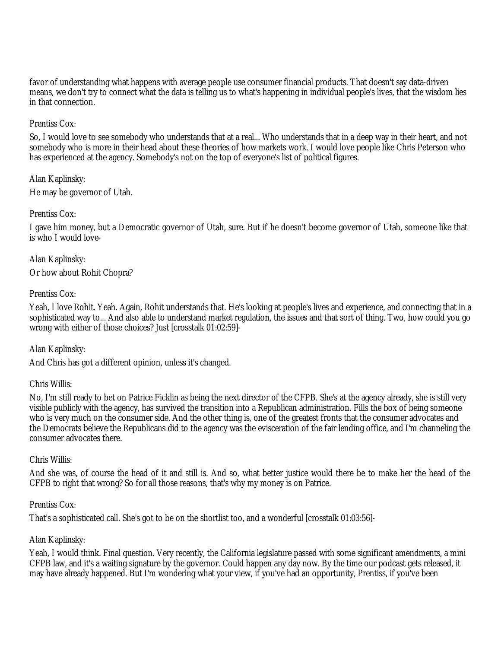favor of understanding what happens with average people use consumer financial products. That doesn't say data-driven means, we don't try to connect what the data is telling us to what's happening in individual people's lives, that the wisdom lies in that connection.

## Prentiss Cox:

So, I would love to see somebody who understands that at a real... Who understands that in a deep way in their heart, and not somebody who is more in their head about these theories of how markets work. I would love people like Chris Peterson who has experienced at the agency. Somebody's not on the top of everyone's list of political figures.

## Alan Kaplinsky:

He may be governor of Utah.

## Prentiss Cox:

I gave him money, but a Democratic governor of Utah, sure. But if he doesn't become governor of Utah, someone like that is who I would love-

Alan Kaplinsky: Or how about Rohit Chopra?

Prentiss Cox:

Yeah, I love Rohit. Yeah. Again, Rohit understands that. He's looking at people's lives and experience, and connecting that in a sophisticated way to... And also able to understand market regulation, the issues and that sort of thing. Two, how could you go wrong with either of those choices? Just [crosstalk 01:02:59]-

Alan Kaplinsky:

And Chris has got a different opinion, unless it's changed.

#### Chris Willis:

No, I'm still ready to bet on Patrice Ficklin as being the next director of the CFPB. She's at the agency already, she is still very visible publicly with the agency, has survived the transition into a Republican administration. Fills the box of being someone who is very much on the consumer side. And the other thing is, one of the greatest fronts that the consumer advocates and the Democrats believe the Republicans did to the agency was the evisceration of the fair lending office, and I'm channeling the consumer advocates there.

#### Chris Willis:

And she was, of course the head of it and still is. And so, what better justice would there be to make her the head of the CFPB to right that wrong? So for all those reasons, that's why my money is on Patrice.

#### Prentiss Cox:

That's a sophisticated call. She's got to be on the shortlist too, and a wonderful [crosstalk 01:03:56]-

#### Alan Kaplinsky:

Yeah, I would think. Final question. Very recently, the California legislature passed with some significant amendments, a mini CFPB law, and it's a waiting signature by the governor. Could happen any day now. By the time our podcast gets released, it may have already happened. But I'm wondering what your view, if you've had an opportunity, Prentiss, if you've been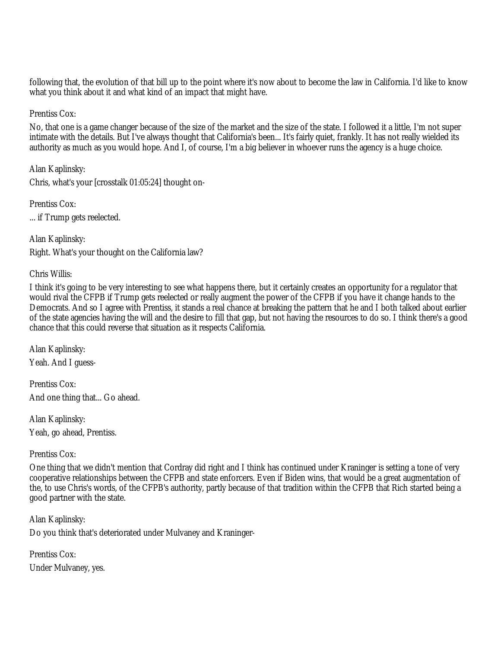following that, the evolution of that bill up to the point where it's now about to become the law in California. I'd like to know what you think about it and what kind of an impact that might have.

Prentiss Cox:

No, that one is a game changer because of the size of the market and the size of the state. I followed it a little, I'm not super intimate with the details. But I've always thought that California's been... It's fairly quiet, frankly. It has not really wielded its authority as much as you would hope. And I, of course, I'm a big believer in whoever runs the agency is a huge choice.

Alan Kaplinsky: Chris, what's your [crosstalk 01:05:24] thought on-

Prentiss Cox: ... if Trump gets reelected.

Alan Kaplinsky: Right. What's your thought on the California law?

Chris Willis:

I think it's going to be very interesting to see what happens there, but it certainly creates an opportunity for a regulator that would rival the CFPB if Trump gets reelected or really augment the power of the CFPB if you have it change hands to the Democrats. And so I agree with Prentiss, it stands a real chance at breaking the pattern that he and I both talked about earlier of the state agencies having the will and the desire to fill that gap, but not having the resources to do so. I think there's a good chance that this could reverse that situation as it respects California.

Alan Kaplinsky: Yeah. And I guess-

Prentiss Cox: And one thing that... Go ahead.

Alan Kaplinsky: Yeah, go ahead, Prentiss.

Prentiss Cox:

One thing that we didn't mention that Cordray did right and I think has continued under Kraninger is setting a tone of very cooperative relationships between the CFPB and state enforcers. Even if Biden wins, that would be a great augmentation of the, to use Chris's words, of the CFPB's authority, partly because of that tradition within the CFPB that Rich started being a good partner with the state.

Alan Kaplinsky:

Do you think that's deteriorated under Mulvaney and Kraninger-

Prentiss Cox: Under Mulvaney, yes.